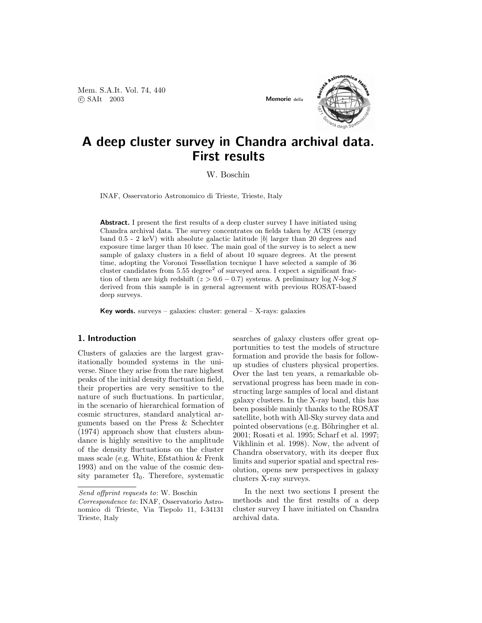Mem. S.A.It. Vol. 74, 440 °c SAIt 2003 Memorie della



## A deep cluster survey in Chandra archival data. First results

W. Boschin

INAF, Osservatorio Astronomico di Trieste, Trieste, Italy

Abstract. I present the first results of a deep cluster survey I have initiated using Chandra archival data. The survey concentrates on fields taken by ACIS (energy band  $0.5 - 2 \text{ keV}$ ) with absolute galactic latitude |b| larger than 20 degrees and exposure time larger than 10 ksec. The main goal of the survey is to select a new sample of galaxy clusters in a field of about 10 square degrees. At the present time, adopting the Voronoi Tessellation tecnique I have selected a sample of 36 cluster candidates from  $5.55 \text{ degree}^2$  of surveyed area. I expect a significant fraction of them are high redshift ( $z > 0.6 - 0.7$ ) systems. A preliminary log N-log S derived from this sample is in general agreement with previous ROSAT-based deep surveys.

Key words. surveys – galaxies: cluster: general – X-rays: galaxies

## 1. Introduction

Clusters of galaxies are the largest gravitationally bounded systems in the universe. Since they arise from the rare highest peaks of the initial density fluctuation field, their properties are very sensitive to the nature of such fluctuations. In particular, in the scenario of hierarchical formation of cosmic structures, standard analytical arguments based on the Press & Schechter (1974) approach show that clusters abundance is highly sensitive to the amplitude of the density fluctuations on the cluster mass scale (e.g. White, Efstathiou & Frenk 1993) and on the value of the cosmic density parameter  $\Omega_0$ . Therefore, systematic

Send offprint requests to: W. Boschin

searches of galaxy clusters offer great opportunities to test the models of structure formation and provide the basis for followup studies of clusters physical properties. Over the last ten years, a remarkable observational progress has been made in constructing large samples of local and distant galaxy clusters. In the X-ray band, this has been possible mainly thanks to the ROSAT satellite, both with All-Sky survey data and pointed observations (e.g. Böhringher et al. 2001; Rosati et al. 1995; Scharf et al. 1997; Vikhlinin et al. 1998). Now, the advent of Chandra observatory, with its deeper flux limits and superior spatial and spectral resolution, opens new perspectives in galaxy clusters X-ray surveys.

In the next two sections I present the methods and the first results of a deep cluster survey I have initiated on Chandra archival data.

Correspondence to: INAF, Osservatorio Astronomico di Trieste, Via Tiepolo 11, I-34131 Trieste, Italy